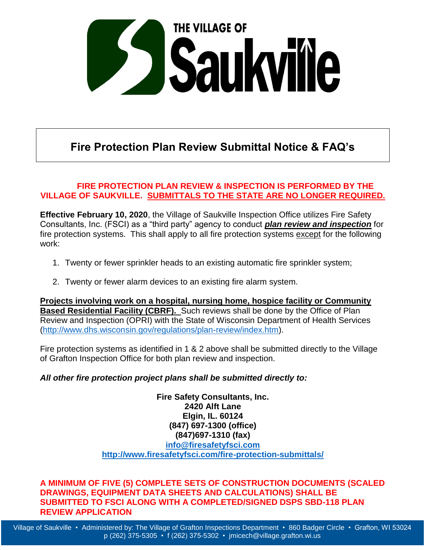

## **Fire Protection Plan Review Submittal Notice & FAQ's**

#### **FIRE PROTECTION PLAN REVIEW & INSPECTION IS PERFORMED BY THE VILLAGE OF SAUKVILLE. SUBMITTALS TO THE STATE ARE NO LONGER REQUIRED.**

**Effective February 10, 2020**, the Village of Saukville Inspection Office utilizes Fire Safety Consultants, Inc. (FSCI) as a "third party" agency to conduct *plan review and inspection* for fire protection systems. This shall apply to all fire protection systems except for the following work:

- 1. Twenty or fewer sprinkler heads to an existing automatic fire sprinkler system;
- 2. Twenty or fewer alarm devices to an existing fire alarm system.

**Projects involving work on a hospital, nursing home, hospice facility or Community Based Residential Facility (CBRF).** Such reviews shall be done by the Office of Plan Review and Inspection (OPRI) with the State of Wisconsin Department of Health Services [\(http://www.dhs.wisconsin.gov/regulations/plan-review/index.htm\)](http://www.dhs.wisconsin.gov/regulations/plan-review/index.htm).

Fire protection systems as identified in 1 & 2 above shall be submitted directly to the Village of Grafton Inspection Office for both plan review and inspection.

#### *All other fire protection project plans shall be submitted directly to:*

**Fire Safety Consultants, Inc. 2420 Alft Lane Elgin, IL. 60124 (847) 697-1300 (office) (847)697-1310 (fax) [info@firesafetyfsci.com](mailto:info@firesafetyfsci.com) <http://www.firesafetyfsci.com/fire-protection-submittals/>**

**A MINIMUM OF FIVE (5) COMPLETE SETS OF CONSTRUCTION DOCUMENTS (SCALED DRAWINGS, EQUIPMENT DATA SHEETS AND CALCULATIONS) SHALL BE SUBMITTED TO FSCI ALONG WITH A COMPLETED/SIGNED DSPS SBD-118 PLAN REVIEW APPLICATION**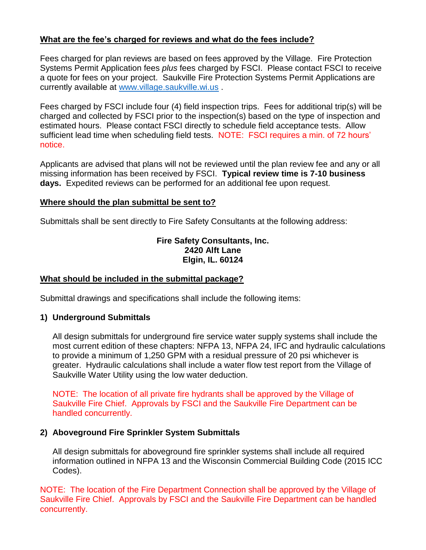#### **What are the fee's charged for reviews and what do the fees include?**

Fees charged for plan reviews are based on fees approved by the Village. Fire Protection Systems Permit Application fees *plus* fees charged by FSCI. Please contact FSCI to receive a quote for fees on your project. Saukville Fire Protection Systems Permit Applications are currently available at [www.village.saukville.wi.us](http://www.village.saukville.wi.us/) .

Fees charged by FSCI include four (4) field inspection trips. Fees for additional trip(s) will be charged and collected by FSCI prior to the inspection(s) based on the type of inspection and estimated hours. Please contact FSCI directly to schedule field acceptance tests. Allow sufficient lead time when scheduling field tests. NOTE: FSCI requires a min. of 72 hours' notice.

Applicants are advised that plans will not be reviewed until the plan review fee and any or all missing information has been received by FSCI. **Typical review time is 7-10 business days.** Expedited reviews can be performed for an additional fee upon request.

#### **Where should the plan submittal be sent to?**

Submittals shall be sent directly to Fire Safety Consultants at the following address:

#### **Fire Safety Consultants, Inc. 2420 Alft Lane Elgin, IL. 60124**

#### **What should be included in the submittal package?**

Submittal drawings and specifications shall include the following items:

#### **1) Underground Submittals**

All design submittals for underground fire service water supply systems shall include the most current edition of these chapters: NFPA 13, NFPA 24, IFC and hydraulic calculations to provide a minimum of 1,250 GPM with a residual pressure of 20 psi whichever is greater. Hydraulic calculations shall include a water flow test report from the Village of Saukville Water Utility using the low water deduction.

NOTE: The location of all private fire hydrants shall be approved by the Village of Saukville Fire Chief. Approvals by FSCI and the Saukville Fire Department can be handled concurrently.

#### **2) Aboveground Fire Sprinkler System Submittals**

All design submittals for aboveground fire sprinkler systems shall include all required information outlined in NFPA 13 and the Wisconsin Commercial Building Code (2015 ICC Codes).

NOTE: The location of the Fire Department Connection shall be approved by the Village of Saukville Fire Chief. Approvals by FSCI and the Saukville Fire Department can be handled concurrently.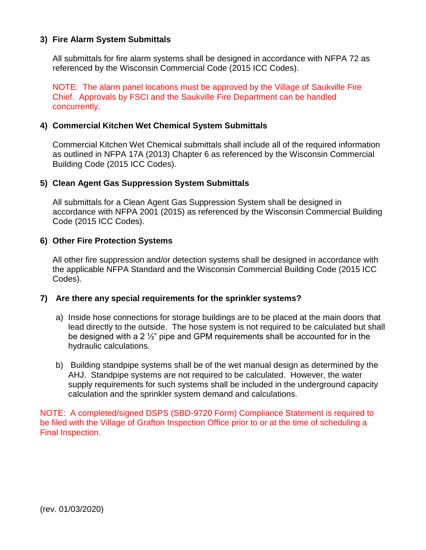#### **3) Fire Alarm System Submittals**

All submittals for fire alarm systems shall be designed in accordance with NFPA 72 as referenced by the Wisconsin Commercial Code (2015 ICC Codes).

NOTE: The alarm panel locations must be approved by the Village of Saukville Fire Chief. Approvals by FSCI and the Saukville Fire Department can be handled concurrently.

#### **4) Commercial Kitchen Wet Chemical System Submittals**

Commercial Kitchen Wet Chemical submittals shall include all of the required information as outlined in NFPA 17A (2013) Chapter 6 as referenced by the Wisconsin Commercial Building Code (2015 ICC Codes).

#### **5) Clean Agent Gas Suppression System Submittals**

All submittals for a Clean Agent Gas Suppression System shall be designed in accordance with NFPA 2001 (2015) as referenced by the Wisconsin Commercial Building Code (2015 ICC Codes).

#### **6) Other Fire Protection Systems**

All other fire suppression and/or detection systems shall be designed in accordance with the applicable NFPA Standard and the Wisconsin Commercial Building Code (2015 ICC Codes).

#### **7) Are there any special requirements for the sprinkler systems?**

- a) Inside hose connections for storage buildings are to be placed at the main doors that lead directly to the outside. The hose system is not required to be calculated but shall be designed with a 2  $\frac{1}{2}$ " pipe and GPM requirements shall be accounted for in the hydraulic calculations.
- b) Building standpipe systems shall be of the wet manual design as determined by the AHJ. Standpipe systems are not required to be calculated. However, the water supply requirements for such systems shall be included in the underground capacity calculation and the sprinkler system demand and calculations.

NOTE: A completed/signed DSPS (SBD-9720 Form) Compliance Statement is required to be filed with the Village of Grafton Inspection Office prior to or at the time of scheduling a Final Inspection.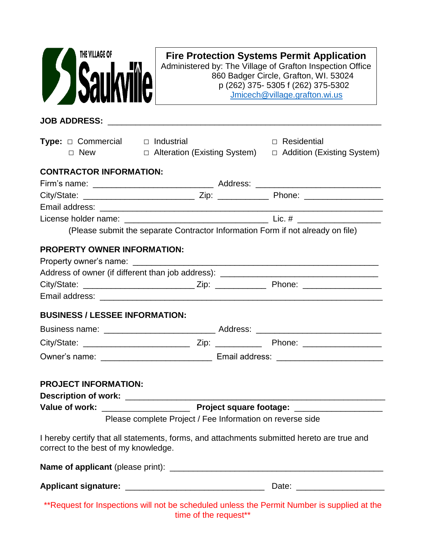| THE VILLAGE OF                                                 |                                     | <b>Fire Protection Systems Permit Application</b><br>Administered by: The Village of Grafton Inspection Office<br>860 Badger Circle, Grafton, WI. 53024<br>p (262) 375-5305 f (262) 375-5302<br>Jmicech@village.grafton.wi.us |  |  |
|----------------------------------------------------------------|-------------------------------------|-------------------------------------------------------------------------------------------------------------------------------------------------------------------------------------------------------------------------------|--|--|
|                                                                |                                     |                                                                                                                                                                                                                               |  |  |
| <b>Type:</b> $\Box$ Commercial $\Box$ Industrial<br>$\Box$ New | $\Box$ Alteration (Existing System) | $\Box$ Residential<br>□ Addition (Existing System)                                                                                                                                                                            |  |  |
| <b>CONTRACTOR INFORMATION:</b>                                 |                                     |                                                                                                                                                                                                                               |  |  |
|                                                                |                                     |                                                                                                                                                                                                                               |  |  |
|                                                                |                                     |                                                                                                                                                                                                                               |  |  |
|                                                                |                                     |                                                                                                                                                                                                                               |  |  |
|                                                                |                                     | (Please submit the separate Contractor Information Form if not already on file)                                                                                                                                               |  |  |
|                                                                |                                     | Address of owner (if different than job address): _______________________________                                                                                                                                             |  |  |
| <b>BUSINESS / LESSEE INFORMATION:</b>                          |                                     |                                                                                                                                                                                                                               |  |  |
|                                                                |                                     |                                                                                                                                                                                                                               |  |  |
|                                                                |                                     |                                                                                                                                                                                                                               |  |  |
|                                                                |                                     | Owner's name: ___________________________________ Email address: __________________________________                                                                                                                           |  |  |
| <b>PROJECT INFORMATION:</b>                                    |                                     |                                                                                                                                                                                                                               |  |  |
|                                                                |                                     |                                                                                                                                                                                                                               |  |  |
|                                                                |                                     | Please complete Project / Fee Information on reverse side                                                                                                                                                                     |  |  |
| correct to the best of my knowledge.                           |                                     | I hereby certify that all statements, forms, and attachments submitted hereto are true and                                                                                                                                    |  |  |
|                                                                |                                     |                                                                                                                                                                                                                               |  |  |
|                                                                |                                     |                                                                                                                                                                                                                               |  |  |
|                                                                | time of the request**               | **Request for Inspections will not be scheduled unless the Permit Number is supplied at the                                                                                                                                   |  |  |